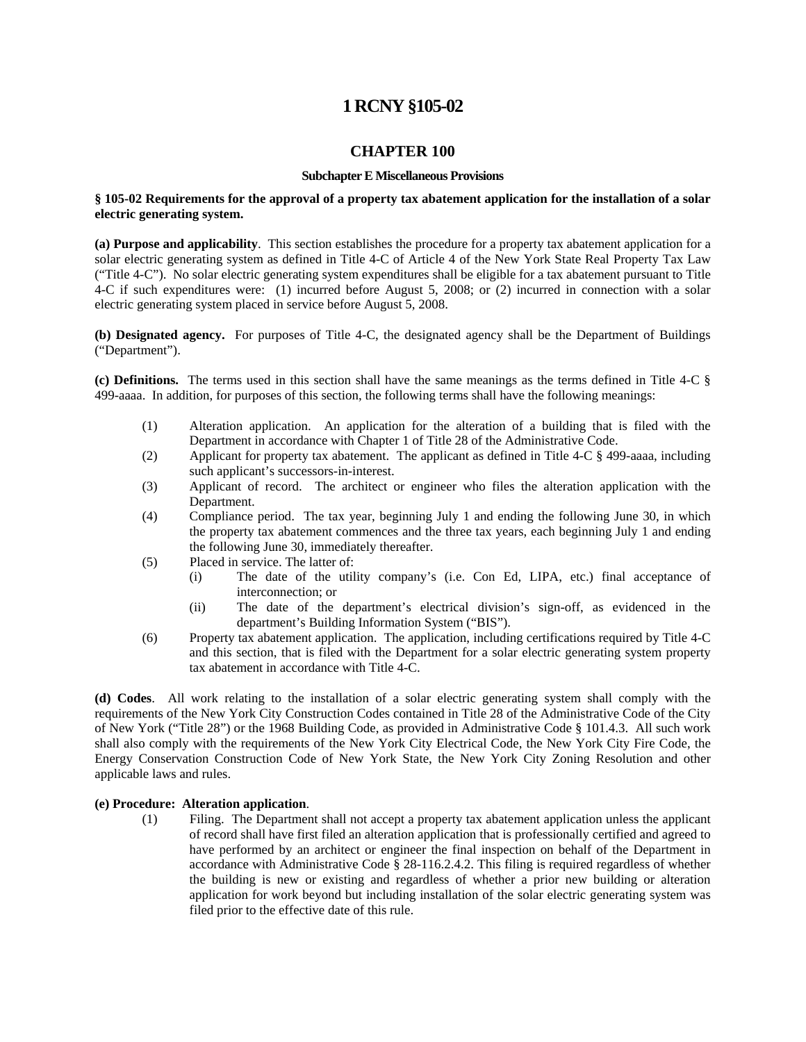# **1 RCNY §105-02**

# **CHAPTER 100**

#### **Subchapter E Miscellaneous Provisions**

### **§ 105-02 Requirements for the approval of a property tax abatement application for the installation of a solar electric generating system.**

**(a) Purpose and applicability**. This section establishes the procedure for a property tax abatement application for a solar electric generating system as defined in Title 4-C of Article 4 of the New York State Real Property Tax Law ("Title 4-C"). No solar electric generating system expenditures shall be eligible for a tax abatement pursuant to Title 4-C if such expenditures were: (1) incurred before August 5, 2008; or (2) incurred in connection with a solar electric generating system placed in service before August 5, 2008.

**(b) Designated agency.** For purposes of Title 4-C, the designated agency shall be the Department of Buildings ("Department").

**(c) Definitions.** The terms used in this section shall have the same meanings as the terms defined in Title 4-C § 499-aaaa. In addition, for purposes of this section, the following terms shall have the following meanings:

- (1) Alteration application. An application for the alteration of a building that is filed with the Department in accordance with Chapter 1 of Title 28 of the Administrative Code.
- (2) Applicant for property tax abatement. The applicant as defined in Title 4-C § 499-aaaa, including such applicant's successors-in-interest.
- (3) Applicant of record. The architect or engineer who files the alteration application with the Department.
- (4) Compliance period. The tax year, beginning July 1 and ending the following June 30, in which the property tax abatement commences and the three tax years, each beginning July 1 and ending the following June 30, immediately thereafter.
- (5) Placed in service. The latter of:
	- (i) The date of the utility company's (i.e. Con Ed, LIPA, etc.) final acceptance of interconnection; or
	- (ii) The date of the department's electrical division's sign-off, as evidenced in the department's Building Information System ("BIS").
- (6) Property tax abatement application. The application, including certifications required by Title 4-C and this section, that is filed with the Department for a solar electric generating system property tax abatement in accordance with Title 4-C.

**(d) Codes**. All work relating to the installation of a solar electric generating system shall comply with the requirements of the New York City Construction Codes contained in Title 28 of the Administrative Code of the City of New York ("Title 28") or the 1968 Building Code, as provided in Administrative Code § 101.4.3. All such work shall also comply with the requirements of the New York City Electrical Code, the New York City Fire Code, the Energy Conservation Construction Code of New York State, the New York City Zoning Resolution and other applicable laws and rules.

#### **(e) Procedure: Alteration application**.

(1) Filing. The Department shall not accept a property tax abatement application unless the applicant of record shall have first filed an alteration application that is professionally certified and agreed to have performed by an architect or engineer the final inspection on behalf of the Department in accordance with Administrative Code § 28-116.2.4.2. This filing is required regardless of whether the building is new or existing and regardless of whether a prior new building or alteration application for work beyond but including installation of the solar electric generating system was filed prior to the effective date of this rule.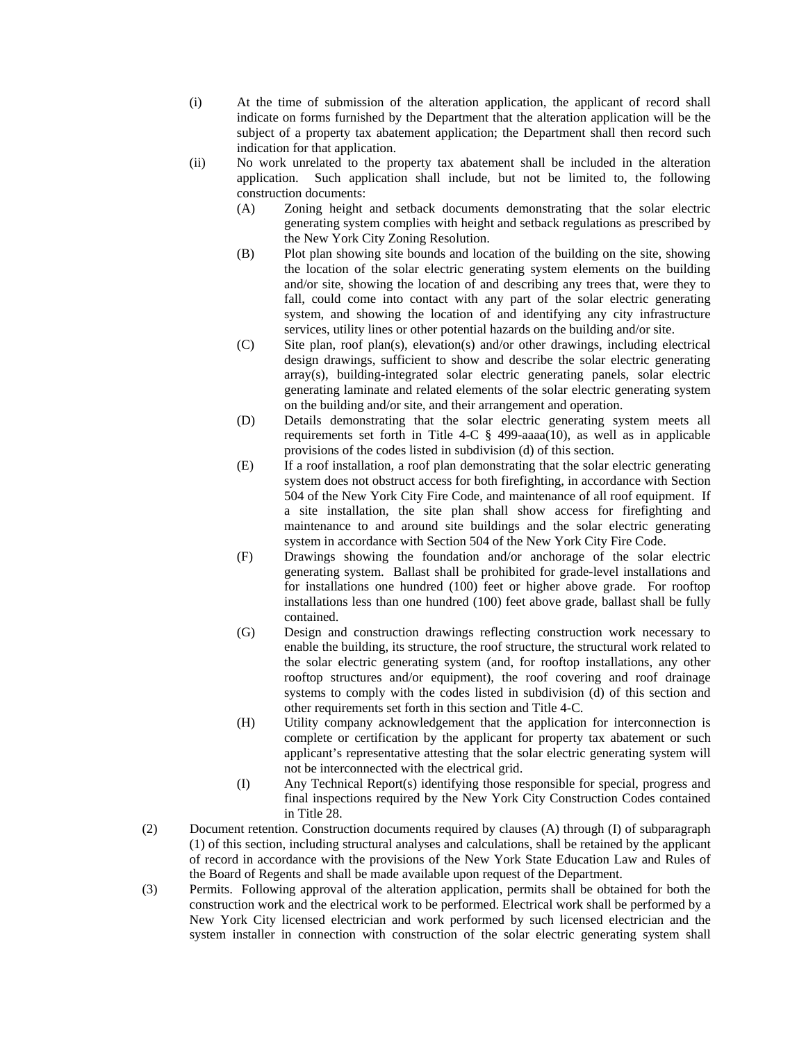- (i) At the time of submission of the alteration application, the applicant of record shall indicate on forms furnished by the Department that the alteration application will be the subject of a property tax abatement application; the Department shall then record such indication for that application.
- (ii) No work unrelated to the property tax abatement shall be included in the alteration application. Such application shall include, but not be limited to, the following construction documents:
	- (A) Zoning height and setback documents demonstrating that the solar electric generating system complies with height and setback regulations as prescribed by the New York City Zoning Resolution.
	- (B) Plot plan showing site bounds and location of the building on the site, showing the location of the solar electric generating system elements on the building and/or site, showing the location of and describing any trees that, were they to fall, could come into contact with any part of the solar electric generating system, and showing the location of and identifying any city infrastructure services, utility lines or other potential hazards on the building and/or site.
	- (C) Site plan, roof plan(s), elevation(s) and/or other drawings, including electrical design drawings, sufficient to show and describe the solar electric generating array(s), building-integrated solar electric generating panels, solar electric generating laminate and related elements of the solar electric generating system on the building and/or site, and their arrangement and operation.
	- (D) Details demonstrating that the solar electric generating system meets all requirements set forth in Title 4-C  $\S$  499-aaaa(10), as well as in applicable provisions of the codes listed in subdivision (d) of this section.
	- (E) If a roof installation, a roof plan demonstrating that the solar electric generating system does not obstruct access for both firefighting, in accordance with Section 504 of the New York City Fire Code, and maintenance of all roof equipment. If a site installation, the site plan shall show access for firefighting and maintenance to and around site buildings and the solar electric generating system in accordance with Section 504 of the New York City Fire Code.
	- (F) Drawings showing the foundation and/or anchorage of the solar electric generating system. Ballast shall be prohibited for grade-level installations and for installations one hundred (100) feet or higher above grade. For rooftop installations less than one hundred (100) feet above grade, ballast shall be fully contained.
	- (G) Design and construction drawings reflecting construction work necessary to enable the building, its structure, the roof structure, the structural work related to the solar electric generating system (and, for rooftop installations, any other rooftop structures and/or equipment), the roof covering and roof drainage systems to comply with the codes listed in subdivision (d) of this section and other requirements set forth in this section and Title 4-C.
	- (H) Utility company acknowledgement that the application for interconnection is complete or certification by the applicant for property tax abatement or such applicant's representative attesting that the solar electric generating system will not be interconnected with the electrical grid.
	- (I) Any Technical Report(s) identifying those responsible for special, progress and final inspections required by the New York City Construction Codes contained in Title 28.
- (2) Document retention. Construction documents required by clauses (A) through (I) of subparagraph (1) of this section, including structural analyses and calculations, shall be retained by the applicant of record in accordance with the provisions of the New York State Education Law and Rules of the Board of Regents and shall be made available upon request of the Department.
- (3) Permits. Following approval of the alteration application, permits shall be obtained for both the construction work and the electrical work to be performed. Electrical work shall be performed by a New York City licensed electrician and work performed by such licensed electrician and the system installer in connection with construction of the solar electric generating system shall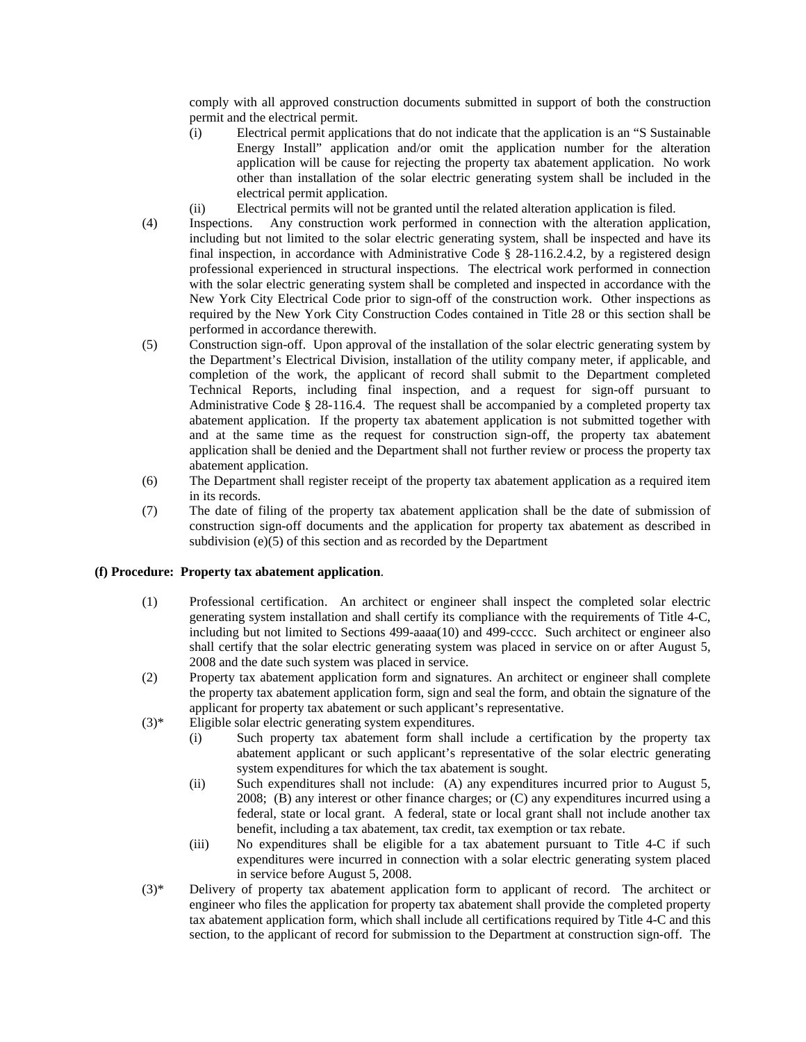comply with all approved construction documents submitted in support of both the construction permit and the electrical permit.

- (i) Electrical permit applications that do not indicate that the application is an "S Sustainable Energy Install" application and/or omit the application number for the alteration application will be cause for rejecting the property tax abatement application. No work other than installation of the solar electric generating system shall be included in the electrical permit application.
- (ii) Electrical permits will not be granted until the related alteration application is filed.
- (4) Inspections. Any construction work performed in connection with the alteration application, including but not limited to the solar electric generating system, shall be inspected and have its final inspection, in accordance with Administrative Code § 28-116.2.4.2, by a registered design professional experienced in structural inspections. The electrical work performed in connection with the solar electric generating system shall be completed and inspected in accordance with the New York City Electrical Code prior to sign-off of the construction work. Other inspections as required by the New York City Construction Codes contained in Title 28 or this section shall be performed in accordance therewith.
- (5) Construction sign-off. Upon approval of the installation of the solar electric generating system by the Department's Electrical Division, installation of the utility company meter, if applicable, and completion of the work, the applicant of record shall submit to the Department completed Technical Reports, including final inspection, and a request for sign-off pursuant to Administrative Code § 28-116.4. The request shall be accompanied by a completed property tax abatement application. If the property tax abatement application is not submitted together with and at the same time as the request for construction sign-off, the property tax abatement application shall be denied and the Department shall not further review or process the property tax abatement application.
- (6) The Department shall register receipt of the property tax abatement application as a required item in its records.
- (7) The date of filing of the property tax abatement application shall be the date of submission of construction sign-off documents and the application for property tax abatement as described in subdivision (e)(5) of this section and as recorded by the Department

## **(f) Procedure: Property tax abatement application**.

- (1) Professional certification. An architect or engineer shall inspect the completed solar electric generating system installation and shall certify its compliance with the requirements of Title 4-C, including but not limited to Sections 499-aaaa(10) and 499-cccc. Such architect or engineer also shall certify that the solar electric generating system was placed in service on or after August 5, 2008 and the date such system was placed in service.
- (2) Property tax abatement application form and signatures. An architect or engineer shall complete the property tax abatement application form, sign and seal the form, and obtain the signature of the applicant for property tax abatement or such applicant's representative.
- (3)\* Eligible solar electric generating system expenditures.
	- (i) Such property tax abatement form shall include a certification by the property tax abatement applicant or such applicant's representative of the solar electric generating system expenditures for which the tax abatement is sought.
	- (ii) Such expenditures shall not include: (A) any expenditures incurred prior to August 5, 2008; (B) any interest or other finance charges; or (C) any expenditures incurred using a federal, state or local grant. A federal, state or local grant shall not include another tax benefit, including a tax abatement, tax credit, tax exemption or tax rebate.
	- (iii) No expenditures shall be eligible for a tax abatement pursuant to Title 4-C if such expenditures were incurred in connection with a solar electric generating system placed in service before August 5, 2008.
- (3)\* Delivery of property tax abatement application form to applicant of record. The architect or engineer who files the application for property tax abatement shall provide the completed property tax abatement application form, which shall include all certifications required by Title 4-C and this section, to the applicant of record for submission to the Department at construction sign-off. The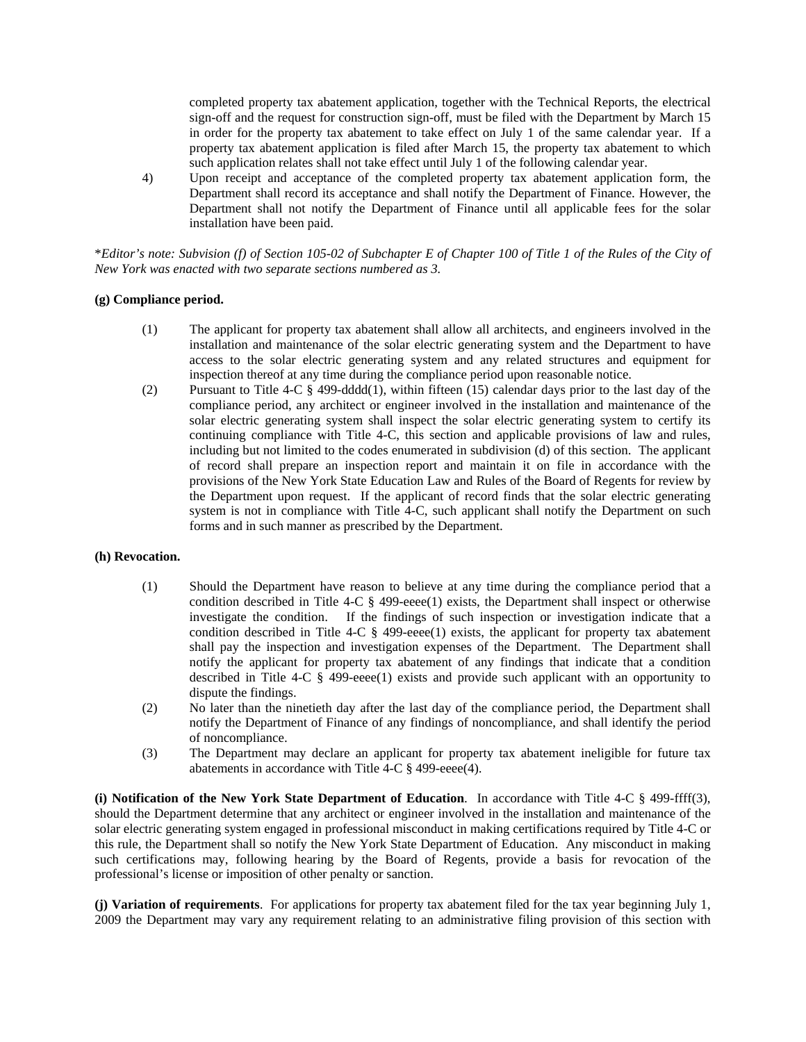completed property tax abatement application, together with the Technical Reports, the electrical sign-off and the request for construction sign-off, must be filed with the Department by March 15 in order for the property tax abatement to take effect on July 1 of the same calendar year. If a property tax abatement application is filed after March 15, the property tax abatement to which such application relates shall not take effect until July 1 of the following calendar year.

4) Upon receipt and acceptance of the completed property tax abatement application form, the Department shall record its acceptance and shall notify the Department of Finance. However, the Department shall not notify the Department of Finance until all applicable fees for the solar installation have been paid.

\**Editor's note: Subvision (f) of Section 105-02 of Subchapter E of Chapter 100 of Title 1 of the Rules of the City of New York was enacted with two separate sections numbered as 3.* 

#### **(g) Compliance period.**

- (1) The applicant for property tax abatement shall allow all architects, and engineers involved in the installation and maintenance of the solar electric generating system and the Department to have access to the solar electric generating system and any related structures and equipment for inspection thereof at any time during the compliance period upon reasonable notice.
- (2) Pursuant to Title 4-C § 499-dddd(1), within fifteen (15) calendar days prior to the last day of the compliance period, any architect or engineer involved in the installation and maintenance of the solar electric generating system shall inspect the solar electric generating system to certify its continuing compliance with Title 4-C, this section and applicable provisions of law and rules, including but not limited to the codes enumerated in subdivision (d) of this section. The applicant of record shall prepare an inspection report and maintain it on file in accordance with the provisions of the New York State Education Law and Rules of the Board of Regents for review by the Department upon request. If the applicant of record finds that the solar electric generating system is not in compliance with Title 4-C, such applicant shall notify the Department on such forms and in such manner as prescribed by the Department.

#### **(h) Revocation.**

- (1) Should the Department have reason to believe at any time during the compliance period that a condition described in Title 4-C § 499-eeee(1) exists, the Department shall inspect or otherwise investigate the condition. If the findings of such inspection or investigation indicate that a condition described in Title 4-C  $\frac{8}{99 - \text{e}}$  applies to applicant for property tax abatement shall pay the inspection and investigation expenses of the Department. The Department shall notify the applicant for property tax abatement of any findings that indicate that a condition described in Title 4-C  $\S$  499-eeee(1) exists and provide such applicant with an opportunity to dispute the findings.
- (2) No later than the ninetieth day after the last day of the compliance period, the Department shall notify the Department of Finance of any findings of noncompliance, and shall identify the period of noncompliance.
- (3) The Department may declare an applicant for property tax abatement ineligible for future tax abatements in accordance with Title 4-C § 499-eeee(4).

**(i) Notification of the New York State Department of Education**. In accordance with Title 4-C § 499-ffff(3), should the Department determine that any architect or engineer involved in the installation and maintenance of the solar electric generating system engaged in professional misconduct in making certifications required by Title 4-C or this rule, the Department shall so notify the New York State Department of Education. Any misconduct in making such certifications may, following hearing by the Board of Regents, provide a basis for revocation of the professional's license or imposition of other penalty or sanction.

**(j) Variation of requirements**. For applications for property tax abatement filed for the tax year beginning July 1, 2009 the Department may vary any requirement relating to an administrative filing provision of this section with